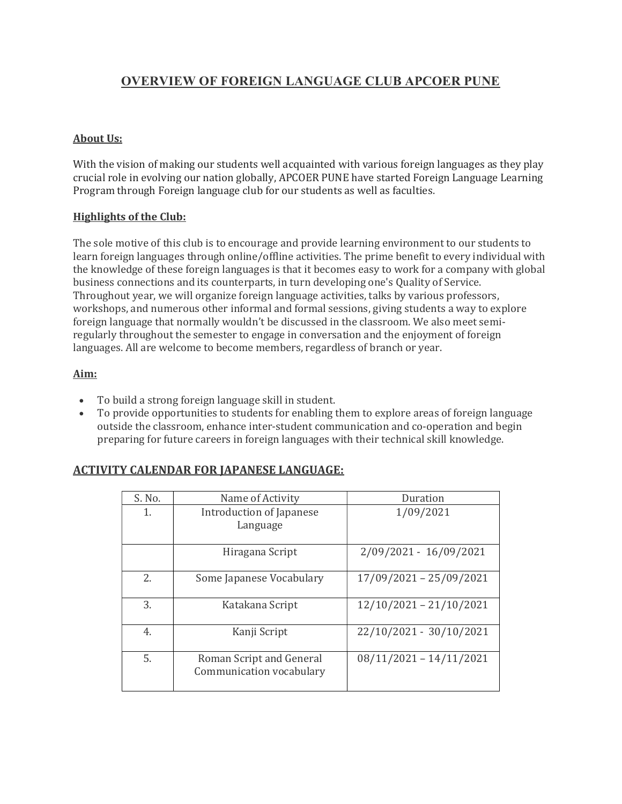# OVERVIEW OF FOREIGN LANGUAGE CLUB APCOER PUNE

## About Us:

With the vision of making our students well acquainted with various foreign languages as they play crucial role in evolving our nation globally, APCOER PUNE have started Foreign Language Learning Program through Foreign language club for our students as well as faculties.

### Highlights of the Club:

The sole motive of this club is to encourage and provide learning environment to our students to learn foreign languages through online/offline activities. The prime benefit to every individual with the knowledge of these foreign languages is that it becomes easy to work for a company with global business connections and its counterparts, in turn developing one's Quality of Service. Throughout year, we will organize foreign language activities, talks by various professors, workshops, and numerous other informal and formal sessions, giving students a way to explore foreign language that normally wouldn't be discussed in the classroom. We also meet semiregularly throughout the semester to engage in conversation and the enjoyment of foreign languages. All are welcome to become members, regardless of branch or year.

### Aim:

- To build a strong foreign language skill in student.
- To provide opportunities to students for enabling them to explore areas of foreign language outside the classroom, enhance inter-student communication and co-operation and begin preparing for future careers in foreign languages with their technical skill knowledge.

| S. No. | Name of Activity                                     | Duration                  |  |  |
|--------|------------------------------------------------------|---------------------------|--|--|
| 1.     | Introduction of Japanese<br>Language                 | 1/09/2021                 |  |  |
|        |                                                      |                           |  |  |
|        | Hiragana Script                                      | 2/09/2021 - 16/09/2021    |  |  |
| 2.     | Some Japanese Vocabulary                             | 17/09/2021 - 25/09/2021   |  |  |
| 3.     | Katakana Script                                      | $12/10/2021 - 21/10/2021$ |  |  |
| 4.     | Kanji Script                                         | 22/10/2021 - 30/10/2021   |  |  |
| 5.     | Roman Script and General<br>Communication vocabulary | $08/11/2021 - 14/11/2021$ |  |  |

### ACTIVITY CALENDAR FOR JAPANESE LANGUAGE: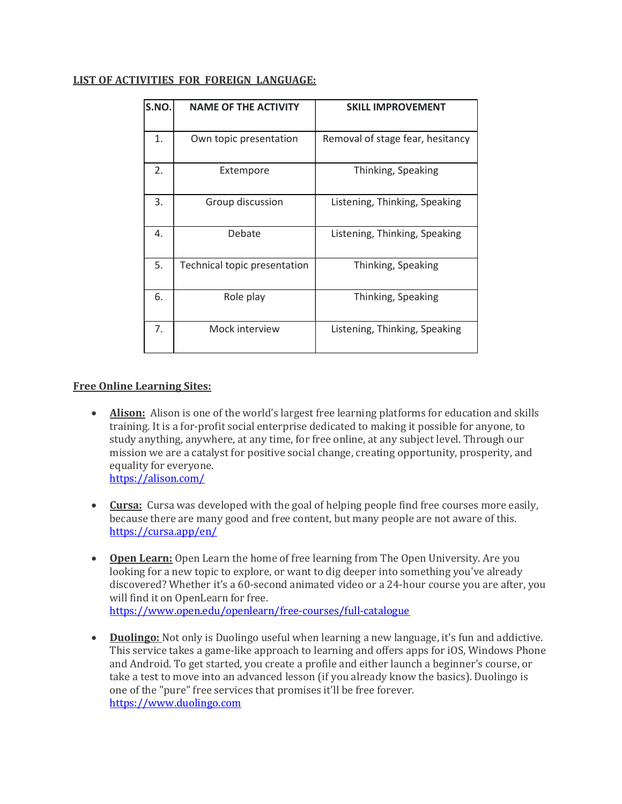#### LIST OF ACTIVITIES FOR FOREIGN LANGUAGE:

| S.NO. | <b>NAME OF THE ACTIVITY</b>  | <b>SKILL IMPROVEMENT</b>         |
|-------|------------------------------|----------------------------------|
| 1.    | Own topic presentation       | Removal of stage fear, hesitancy |
| 2.    | Extempore                    | Thinking, Speaking               |
| 3.    | Group discussion             | Listening, Thinking, Speaking    |
| 4.    | Debate                       | Listening, Thinking, Speaking    |
| 5.    | Technical topic presentation | Thinking, Speaking               |
| 6.    | Role play                    | Thinking, Speaking               |
| 7.    | Mock interview               | Listening, Thinking, Speaking    |

### Free Online Learning Sites:

- Alison: Alison is one of the world's largest free learning platforms for education and skills training. It is a for-profit social enterprise dedicated to making it possible for anyone, to study anything, anywhere, at any time, for free online, at any subject level. Through our mission we are a catalyst for positive social change, creating opportunity, prosperity, and equality for everyone. https://alison.com/
- Cursa: Cursa was developed with the goal of helping people find free courses more easily, because there are many good and free content, but many people are not aware of this. https://cursa.app/en/
- Open Learn: Open Learn the home of free learning from The Open University. Are you looking for a new topic to explore, or want to dig deeper into something you've already discovered? Whether it's a 60-second animated video or a 24-hour course you are after, you will find it on OpenLearn for free. https://www.open.edu/openlearn/free-courses/full-catalogue
- Duolingo: Not only is Duolingo useful when learning a new language, it's fun and addictive. This service takes a game-like approach to learning and offers apps for iOS, Windows Phone and Android. To get started, you create a profile and either launch a beginner's course, or take a test to move into an advanced lesson (if you already know the basics). Duolingo is one of the "pure" free services that promises it'll be free forever. https://www.duolingo.com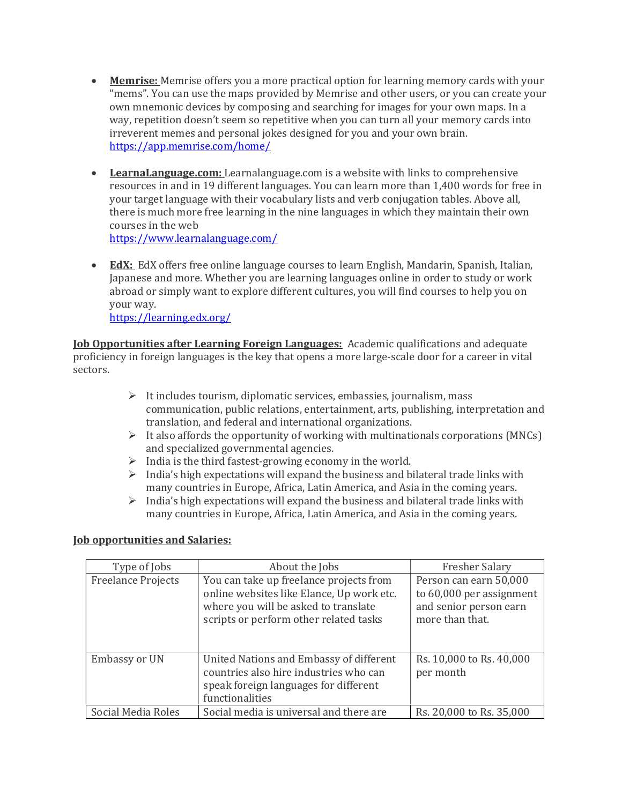- **Memrise:** Memrise offers you a more practical option for learning memory cards with your "mems". You can use the maps provided by Memrise and other users, or you can create your own mnemonic devices by composing and searching for images for your own maps. In a way, repetition doesn't seem so repetitive when you can turn all your memory cards into irreverent memes and personal jokes designed for you and your own brain. https://app.memrise.com/home/
- LearnaLanguage.com: Learnalanguage.com is a website with links to comprehensive resources in and in 19 different languages. You can learn more than 1,400 words for free in your target language with their vocabulary lists and verb conjugation tables. Above all, there is much more free learning in the nine languages in which they maintain their own courses in the web https://www.learnalanguage.com/
- **EdX:** EdX offers free online language courses to learn English, Mandarin, Spanish, Italian, Japanese and more. Whether you are learning languages online in order to study or work abroad or simply want to explore different cultures, you will find courses to help you on your way. https://learning.edx.org/

Job Opportunities after Learning Foreign Languages: Academic qualifications and adequate proficiency in foreign languages is the key that opens a more large-scale door for a career in vital sectors.

- $\triangleright$  It includes tourism, diplomatic services, embassies, journalism, mass communication, public relations, entertainment, arts, publishing, interpretation and translation, and federal and international organizations.
- $\triangleright$  It also affords the opportunity of working with multinationals corporations (MNCs) and specialized governmental agencies.
- $\triangleright$  India is the third fastest-growing economy in the world.
- $\triangleright$  India's high expectations will expand the business and bilateral trade links with many countries in Europe, Africa, Latin America, and Asia in the coming years.
- $\triangleright$  India's high expectations will expand the business and bilateral trade links with many countries in Europe, Africa, Latin America, and Asia in the coming years.

### Job opportunities and Salaries:

| Type of Jobs              | About the Jobs                                                                                                                                                         | <b>Fresher Salary</b>                                                                           |  |
|---------------------------|------------------------------------------------------------------------------------------------------------------------------------------------------------------------|-------------------------------------------------------------------------------------------------|--|
| <b>Freelance Projects</b> | You can take up freelance projects from<br>online websites like Elance, Up work etc.<br>where you will be asked to translate<br>scripts or perform other related tasks | Person can earn 50,000<br>to 60,000 per assignment<br>and senior person earn<br>more than that. |  |
| <b>Embassy or UN</b>      | United Nations and Embassy of different<br>countries also hire industries who can<br>speak foreign languages for different<br>functionalities                          | Rs. 10,000 to Rs. 40,000<br>per month                                                           |  |
| Social Media Roles        | Social media is universal and there are                                                                                                                                | Rs. 20,000 to Rs. 35,000                                                                        |  |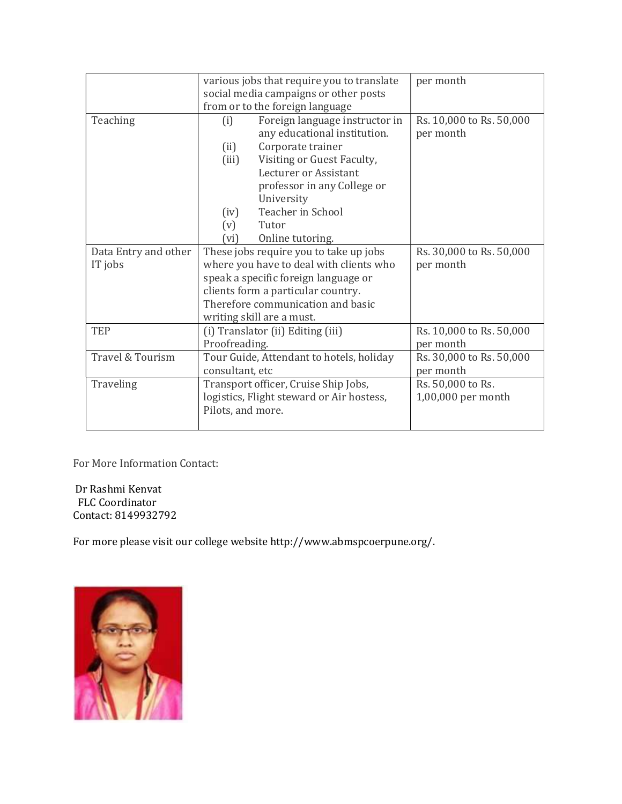|                                                 | various jobs that require you to translate |                                          |                          |
|-------------------------------------------------|--------------------------------------------|------------------------------------------|--------------------------|
|                                                 |                                            | social media campaigns or other posts    | per month                |
|                                                 |                                            | from or to the foreign language          |                          |
| Teaching                                        | (i)                                        | Foreign language instructor in           | Rs. 10,000 to Rs. 50,000 |
|                                                 |                                            | any educational institution.             | per month                |
|                                                 | (ii)                                       | Corporate trainer                        |                          |
|                                                 | (iii)                                      | Visiting or Guest Faculty,               |                          |
|                                                 |                                            | Lecturer or Assistant                    |                          |
|                                                 |                                            | professor in any College or              |                          |
|                                                 |                                            | University                               |                          |
|                                                 | (iv)                                       | Teacher in School                        |                          |
|                                                 | (v)                                        | Tutor                                    |                          |
|                                                 | (vi)                                       | Online tutoring.                         |                          |
| Data Entry and other                            |                                            | These jobs require you to take up jobs   | Rs. 30,000 to Rs. 50,000 |
| IT jobs                                         | where you have to deal with clients who    |                                          | per month                |
|                                                 | speak a specific foreign language or       |                                          |                          |
|                                                 | clients form a particular country.         |                                          |                          |
|                                                 | Therefore communication and basic          |                                          |                          |
|                                                 |                                            | writing skill are a must.                |                          |
| <b>TEP</b><br>(i) Translator (ii) Editing (iii) |                                            | Rs. 10,000 to Rs. 50,000                 |                          |
|                                                 | Proofreading.                              |                                          | per month                |
| Travel & Tourism                                |                                            | Tour Guide, Attendant to hotels, holiday | Rs. 30,000 to Rs. 50,000 |
|                                                 | consultant, etc                            |                                          | per month                |
| Traveling                                       |                                            | Transport officer, Cruise Ship Jobs,     | Rs. 50,000 to Rs.        |
|                                                 | logistics, Flight steward or Air hostess,  |                                          | 1,00,000 per month       |
|                                                 | Pilots, and more.                          |                                          |                          |
|                                                 |                                            |                                          |                          |

For More Information Contact:

 Dr Rashmi Kenvat FLC Coordinator Contact: 8149932792

For more please visit our college website http://www.abmspcoerpune.org/.